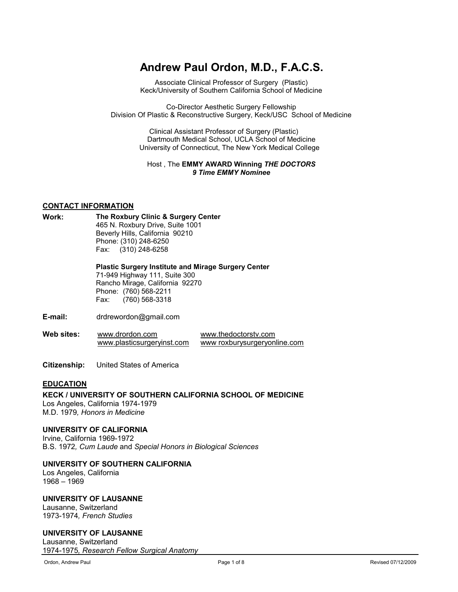# **Andrew Paul Ordon, M.D., F.A.C.S.**

Associate Clinical Professor of Surgery (Plastic) Keck/University of Southern California School of Medicine

Co-Director Aesthetic Surgery Fellowship Division Of Plastic & Reconstructive Surgery, Keck/USC School of Medicine

> Clinical Assistant Professor of Surgery (Plastic) Dartmouth Medical School, UCLA School of Medicine University of Connecticut, The New York Medical College

## Host , The **EMMY AWARD Winning** *THE DOCTORS 9 Time EMMY Nominee*

## **CONTACT INFORMATION**

**Work: The Roxbury Clinic & Surgery Center** 465 N. Roxbury Drive, Suite 1001 Beverly Hills, California 90210 Phone: (310) 248-6250 Fax: (310) 248-6258

> **Plastic Surgery Institute and Mirage Surgery Center**  71-949 Highway 111, Suite 300 Rancho Mirage, California 92270 Phone: (760) 568-2211 Fax: (760) 568-3318

- **E-mail:** drdrewordon@gmail.com
- **Web sites:** [www.drordon.com](http://www.drordon.com/)  [www.plasticsurgeryinst.com](http://www.plasticsurgeryinst.com/) www.thedoctorstv.com www roxburysurgeryonline.com
- **Citizenship:** United States of America

## **EDUCATION**

#### **KECK / UNIVERSITY OF SOUTHERN CALIFORNIA SCHOOL OF MEDICINE**  Los Angeles, California 1974-1979 M.D. 1979*, Honors in Medicine*

## **UNIVERSITY OF CALIFORNIA**

Irvine, California 1969-1972 B.S. 1972*, Cum Laude* and *Special Honors in Biological Sciences* 

# **UNIVERSITY OF SOUTHERN CALIFORNIA**

Los Angeles, California 1968 – 1969

## **UNIVERSITY OF LAUSANNE**

Lausanne, Switzerland 1973-1974*, French Studies*

## **UNIVERSITY OF LAUSANNE**

Lausanne, Switzerland 1974-1975*, Research Fellow Surgical Anatomy*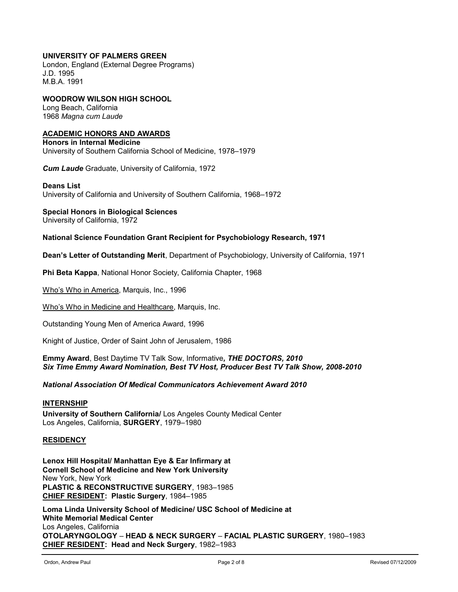# **UNIVERSITY OF PALMERS GREEN**

London, England (External Degree Programs) J.D. 1995 M.B.A. 1991

# **WOODROW WILSON HIGH SCHOOL**

Long Beach, California 1968 *Magna cum Laude* 

## **ACADEMIC HONORS AND AWARDS**

**Honors in Internal Medicine**  University of Southern California School of Medicine, 1978–1979

*Cum Laude* Graduate, University of California, 1972

#### **Deans List**

University of California and University of Southern California, 1968–1972

#### **Special Honors in Biological Sciences**

University of California, 1972

#### **National Science Foundation Grant Recipient for Psychobiology Research, 1971**

**Dean's Letter of Outstanding Merit**, Department of Psychobiology, University of California, 1971

**Phi Beta Kappa**, National Honor Society, California Chapter, 1968

Who's Who in America, Marquis, Inc., 1996

Who's Who in Medicine and Healthcare, Marquis, Inc.

Outstanding Young Men of America Award, 1996

Knight of Justice, Order of Saint John of Jerusalem, 1986

**Emmy Award**, Best Daytime TV Talk Sow, Informative*, THE DOCTORS, 2010 Six Time Emmy Award Nomination, Best TV Host, Producer Best TV Talk Show, 2008-2010*

*National Association Of Medical Communicators Achievement Award 2010*

## **INTERNSHIP**

**University of Southern California/** Los Angeles County Medical Center Los Angeles, California, **SURGERY**, 1979–1980

## **RESIDENCY**

**Lenox Hill Hospital/ Manhattan Eye & Ear Infirmary at Cornell School of Medicine and New York University**  New York, New York **PLASTIC & RECONSTRUCTIVE SURGERY**, 1983–1985 **CHIEF RESIDENT: Plastic Surgery**, 1984–1985

**Loma Linda University School of Medicine/ USC School of Medicine at White Memorial Medical Center**  Los Angeles, California **OTOLARYNGOLOGY** – **HEAD & NECK SURGERY** – **FACIAL PLASTIC SURGERY**, 1980–1983 **CHIEF RESIDENT: Head and Neck Surgery**, 1982–1983

 $\overline{a}$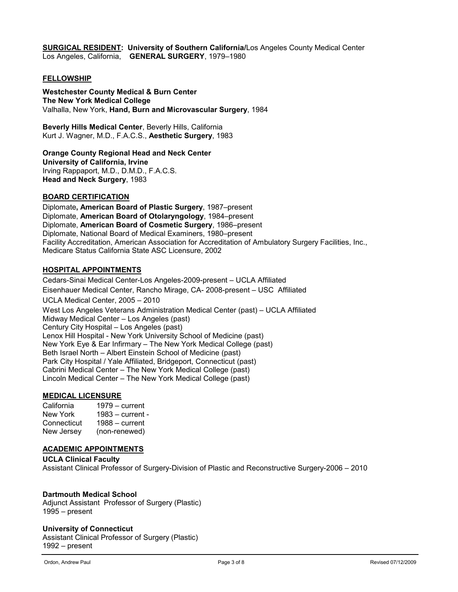**SURGICAL RESIDENT: University of Southern California/**Los Angeles County Medical Center Los Angeles, California, **GENERAL SURGERY**, 1979–1980

#### **FELLOWSHIP**

**Westchester County Medical & Burn Center The New York Medical College**  Valhalla, New York, **Hand, Burn and Microvascular Surgery**, 1984

**Beverly Hills Medical Center**, Beverly Hills, California Kurt J. Wagner, M.D., F.A.C.S., **Aesthetic Surgery**, 1983

#### **Orange County Regional Head and Neck Center**

**University of California, Irvine**  Irving Rappaport, M.D., D.M.D., F.A.C.S. **Head and Neck Surgery**, 1983

#### **BOARD CERTIFICATION**

Diplomate**, American Board of Plastic Surgery**, 1987–present Diplomate, **American Board of Otolaryngology**, 1984–present Diplomate, **American Board of Cosmetic Surgery**, 1986–present Diplomate, National Board of Medical Examiners, 1980–present Facility Accreditation, American Association for Accreditation of Ambulatory Surgery Facilities, Inc., Medicare Status California State ASC Licensure, 2002

#### **HOSPITAL APPOINTMENTS**

Cedars-Sinai Medical Center-Los Angeles-2009-present – UCLA Affiliated Eisenhauer Medical Center, Rancho Mirage, CA- 2008-present – USC Affiliated UCLA Medical Center, 2005 – 2010 West Los Angeles Veterans Administration Medical Center (past) – UCLA Affiliated Midway Medical Center – Los Angeles (past) Century City Hospital – Los Angeles (past) Lenox Hill Hospital - New York University School of Medicine (past) New York Eye & Ear Infirmary – The New York Medical College (past) Beth Israel North – Albert Einstein School of Medicine (past) Park City Hospital / Yale Affiliated, Bridgeport, Connecticut (past) Cabrini Medical Center – The New York Medical College (past) Lincoln Medical Center – The New York Medical College (past)

## **MEDICAL LICENSURE**

California 1979 – current New York 1983 – current -<br>Connecticut 1988 – current Connecticut 1988 – current<br>New Jersey (non-renewed) (non-renewed)

#### **ACADEMIC APPOINTMENTS**

**UCLA Clinical Faculty**  Assistant Clinical Professor of Surgery-Division of Plastic and Reconstructive Surgery-2006 – 2010

## **Dartmouth Medical School**

Adjunct Assistant Professor of Surgery (Plastic) 1995 – present

#### **University of Connecticut**

Assistant Clinical Professor of Surgery (Plastic) 1992 – present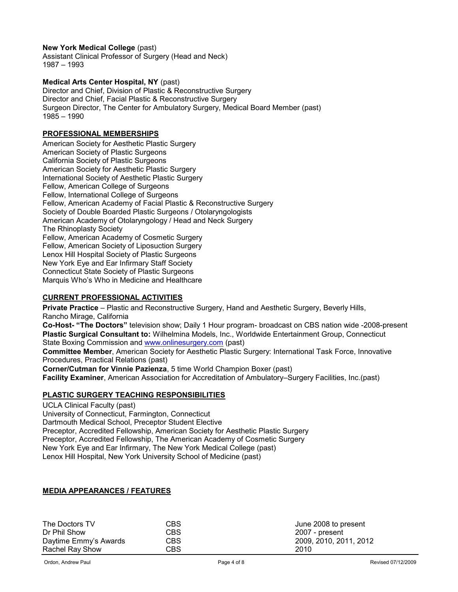## **New York Medical College** (past)

Assistant Clinical Professor of Surgery (Head and Neck) 1987 – 1993

## **Medical Arts Center Hospital, NY** (past)

Director and Chief, Division of Plastic & Reconstructive Surgery Director and Chief, Facial Plastic & Reconstructive Surgery Surgeon Director, The Center for Ambulatory Surgery, Medical Board Member (past) 1985 – 1990

# **PROFESSIONAL MEMBERSHIPS**

American Society for Aesthetic Plastic Surgery American Society of Plastic Surgeons California Society of Plastic Surgeons American Society for Aesthetic Plastic Surgery International Society of Aesthetic Plastic Surgery Fellow, American College of Surgeons Fellow, International College of Surgeons Fellow, American Academy of Facial Plastic & Reconstructive Surgery Society of Double Boarded Plastic Surgeons / Otolaryngologists American Academy of Otolaryngology / Head and Neck Surgery The Rhinoplasty Society Fellow, American Academy of Cosmetic Surgery Fellow, American Society of Liposuction Surgery Lenox Hill Hospital Society of Plastic Surgeons New York Eye and Ear Infirmary Staff Society Connecticut State Society of Plastic Surgeons Marquis Who's Who in Medicine and Healthcare

#### **CURRENT PROFESSIONAL ACTIVITIES**

**Private Practice** – Plastic and Reconstructive Surgery, Hand and Aesthetic Surgery, Beverly Hills, Rancho Mirage, California **Co-Host- "The Doctors"** television show; Daily 1 Hour program- broadcast on CBS nation wide -2008-present

**Plastic Surgical Consultant to:** Wilhelmina Models, Inc., Worldwide Entertainment Group, Connecticut State Boxing Commission and [www.onlinesurgery.com](http://www.onlinesurgery.com/) (past)

**Committee Member**, American Society for Aesthetic Plastic Surgery: International Task Force, Innovative Procedures, Practical Relations (past)

**Corner/Cutman for Vinnie Pazienza**, 5 time World Champion Boxer (past) **Facility Examiner**, American Association for Accreditation of Ambulatory–Surgery Facilities, Inc.(past)

## **PLASTIC SURGERY TEACHING RESPONSIBILITIES**

UCLA Clinical Faculty (past) University of Connecticut, Farmington, Connecticut Dartmouth Medical School, Preceptor Student Elective Preceptor, Accredited Fellowship, American Society for Aesthetic Plastic Surgery Preceptor, Accredited Fellowship, The American Academy of Cosmetic Surgery New York Eye and Ear Infirmary, The New York Medical College (past) Lenox Hill Hospital, New York University School of Medicine (past)

> CBS CBS CBS CBS

## **MEDIA APPEARANCES / FEATURES**

| The Doctors TV         |
|------------------------|
| Dr Phil Show           |
| Daytime Emmy's Awards  |
| <b>Rachel Ray Show</b> |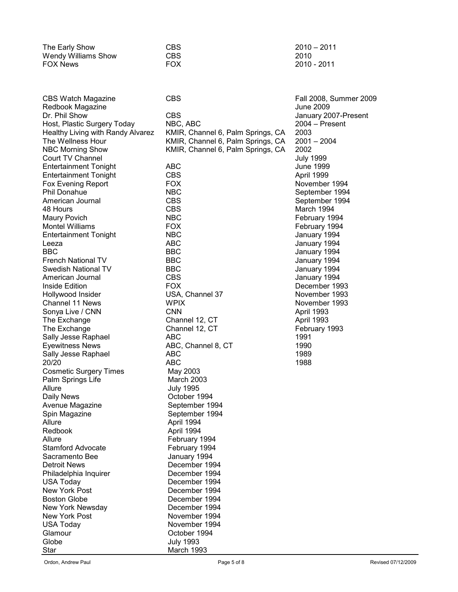| The Early Show      | CBS. | $2010 - 2011$ |
|---------------------|------|---------------|
| Wendy Williams Show | CBS. | 2010          |
| FOX News            | FOX  | 2010 - 2011   |

CBS Watch Magazine CBS COS CONSERVIATION CBS Fall 2008, Summer 2009 Redbook Magazine June 2009 Host, Plastic Surgery Today NBC, ABC<br>Healthy Living with Randy Alvarez KMIR, Channel 6, Palm Springs, CA 2003 Healthy Living with Randy Alvarez KMIR, Channel 6, Palm Springs, CA 2003 NBC Morning Show KMIR, Channel 6, Palm Springs, CA 2002 Court TV Channel University Court TV Channel<br>
Court TV Channel Contact ABC<br>
Court Tomas ABC<br>
Court Tomas July 1999 Entertainment Tonight **ABC** Entertainment Tonight CBS April 1999 Fox Evening Report FOX FOX November 1994 Phil Donahue **NBC** NBC September 1994 American Journal **CBS** September 1994 About 1994 and the CBS of the March 1994 and the CBS of the March 1994 Maury Povich NBC February 1994 Entertainment Tonight NBC January 1994 Leeza ABC January 1994 BBC BBC January 1994 French National TV BBC<br>
Swedish National TV BBC<br>
BBC January 1994 Swedish National TV American Journal CBS January 1994 Inside Edition FOX December 1993 Hollywood Insider **November 1993** USA, Channel 37 November 1993 Channel 11 News **WPIX** November 1993 Sonya Live / CNN CNN April 1993 The Exchange Channel 12, CT April 1993 The Exchange **Channel 12, CT** February 1993 Sally Jesse Raphael **ABC** 1991 Eyewitness News ABC, Channel 8, CT 1990 Sally Jesse Raphael 20/20 ABC 1988 Cosmetic Surgery Times May 2003 Palm Springs Life March 2003 Allure July 1995 Daily News **Daily News** October 1994 Avenue Magazine **September** 1994 Spin Magazine September 1994 Allure Allure April 1994 Redbook April 1994 Stamford Advocate February 1994 Sacramento Bee January 1994 Detroit News<br>
Philadelphia Inquirer<br>
December 1994 Philadelphia Inquirer<br>USA Today New York Post **December 1994** Boston Globe December 1994 New York Newsday **December 1994**<br>New York Post **December 1994** New York Post USA Today November 1994 Glamour **Contract Contract Contract Contract Contract Contract Contract Contract Contract Contract Contract Contract Contract Contract Contract Contract Contract Contract Contract Contract Contract Contract Contract Contra** Globe July 1993 Star March 1993

KMIR, Channel 6, Palm Springs, CA February 1994 December 1994

January 2007-Present February 1994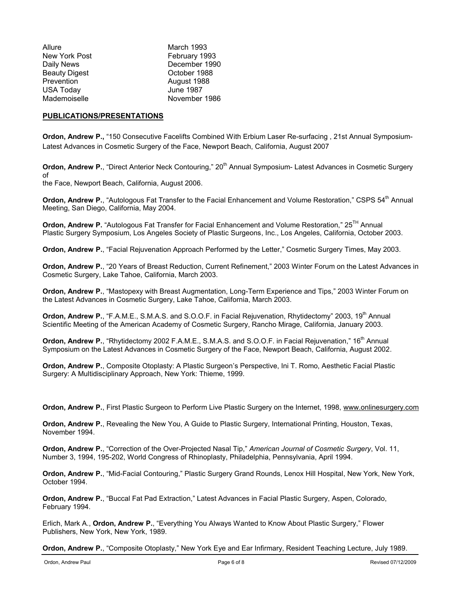| Allure               | <b>March 1993</b> |
|----------------------|-------------------|
| New York Post        | February 1993     |
| Daily News           | December 1990     |
| <b>Beauty Digest</b> | October 1988      |
| Prevention           | August 1988       |
| USA Today            | <b>June 1987</b>  |
| Mademoiselle         | November 1986     |
|                      |                   |

#### **PUBLICATIONS/PRESENTATIONS**

**Ordon, Andrew P.,** "150 Consecutive Facelifts Combined With Erbium Laser Re-surfacing , 21st Annual Symposium-Latest Advances in Cosmetic Surgery of the Face, Newport Beach, California, August 2007

**Ordon, Andrew P.**, "Direct Anterior Neck Contouring," 20<sup>th</sup> Annual Symposium- Latest Advances in Cosmetic Surgery of

the Face, Newport Beach, California, August 2006.

**Ordon, Andrew P.**, "Autologous Fat Transfer to the Facial Enhancement and Volume Restoration," CSPS 54<sup>th</sup> Annual Meeting, San Diego, California, May 2004.

**Ordon, Andrew P.** "Autologous Fat Transfer for Facial Enhancement and Volume Restoration," 25TH Annual Plastic Surgery Symposium, Los Angeles Society of Plastic Surgeons, Inc., Los Angeles, California, October 2003.

**Ordon, Andrew P.**, "Facial Rejuvenation Approach Performed by the Letter," Cosmetic Surgery Times, May 2003.

**Ordon, Andrew P.**, "20 Years of Breast Reduction, Current Refinement," 2003 Winter Forum on the Latest Advances in Cosmetic Surgery, Lake Tahoe, California, March 2003.

**Ordon, Andrew P.**, "Mastopexy with Breast Augmentation, Long-Term Experience and Tips," 2003 Winter Forum on the Latest Advances in Cosmetic Surgery, Lake Tahoe, California, March 2003.

**Ordon, Andrew P.**, "F.A.M.E., S.M.A.S. and S.O.O.F. in Facial Rejuvenation, Rhytidectomy" 2003, 19<sup>th</sup> Annual Scientific Meeting of the American Academy of Cosmetic Surgery, Rancho Mirage, California, January 2003.

**Ordon, Andrew P.**, "Rhytidectomy 2002 F.A.M.E., S.M.A.S. and S.O.O.F. in Facial Rejuvenation," 16<sup>th</sup> Annual Symposium on the Latest Advances in Cosmetic Surgery of the Face, Newport Beach, California, August 2002.

**Ordon, Andrew P.**, Composite Otoplasty: A Plastic Surgeon's Perspective, Ini T. Romo, Aesthetic Facial Plastic Surgery: A Multidisciplinary Approach, New York: Thieme, 1999.

**Ordon, Andrew P.**, First Plastic Surgeon to Perform Live Plastic Surgery on the Internet, 1998, www.onlinesurgery.com

**Ordon, Andrew P.**, Revealing the New You, A Guide to Plastic Surgery, International Printing, Houston, Texas, November 1994.

**Ordon, Andrew P.**, "Correction of the Over-Projected Nasal Tip," *American Journal of Cosmetic Surgery*, Vol. 11, Number 3, 1994, 195-202, World Congress of Rhinoplasty, Philadelphia, Pennsylvania, April 1994.

**Ordon, Andrew P.**, "Mid-Facial Contouring," Plastic Surgery Grand Rounds, Lenox Hill Hospital, New York, New York, October 1994.

**Ordon, Andrew P.**, "Buccal Fat Pad Extraction," Latest Advances in Facial Plastic Surgery, Aspen, Colorado, February 1994.

Erlich, Mark A., **Ordon, Andrew P.**, "Everything You Always Wanted to Know About Plastic Surgery," Flower Publishers, New York, New York, 1989.

**Ordon, Andrew P.**, "Composite Otoplasty," New York Eye and Ear Infirmary, Resident Teaching Lecture, July 1989.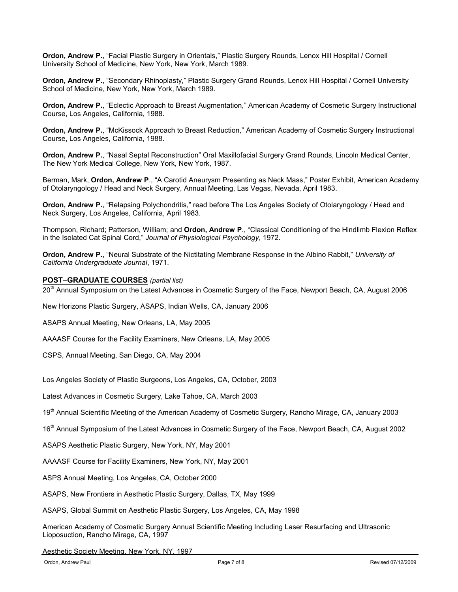**Ordon, Andrew P.**, "Facial Plastic Surgery in Orientals," Plastic Surgery Rounds, Lenox Hill Hospital / Cornell University School of Medicine, New York, New York, March 1989.

**Ordon, Andrew P.**, "Secondary Rhinoplasty," Plastic Surgery Grand Rounds, Lenox Hill Hospital / Cornell University School of Medicine, New York, New York, March 1989.

**Ordon, Andrew P.**, "Eclectic Approach to Breast Augmentation," American Academy of Cosmetic Surgery Instructional Course, Los Angeles, California, 1988.

**Ordon, Andrew P.**, "McKissock Approach to Breast Reduction," American Academy of Cosmetic Surgery Instructional Course, Los Angeles, California, 1988.

**Ordon, Andrew P.**, "Nasal Septal Reconstruction" Oral Maxillofacial Surgery Grand Rounds, Lincoln Medical Center, The New York Medical College, New York, New York, 1987.

Berman, Mark, **Ordon, Andrew P**., "A Carotid Aneurysm Presenting as Neck Mass," Poster Exhibit, American Academy of Otolaryngology / Head and Neck Surgery, Annual Meeting, Las Vegas, Nevada, April 1983.

**Ordon, Andrew P.**, "Relapsing Polychondritis," read before The Los Angeles Society of Otolaryngology / Head and Neck Surgery, Los Angeles, California, April 1983.

Thompson, Richard; Patterson, William; and **Ordon, Andrew P**., "Classical Conditioning of the Hindlimb Flexion Reflex in the Isolated Cat Spinal Cord," *Journal of Physiological Psychology*, 1972.

**Ordon, Andrew P.**, "Neural Substrate of the Nictitating Membrane Response in the Albino Rabbit," *University of California Undergraduate Journal*, 1971.

#### **POST**–**GRADUATE COURSES** *(partial list)*

20<sup>th</sup> Annual Symposium on the Latest Advances in Cosmetic Surgery of the Face, Newport Beach, CA, August 2006

New Horizons Plastic Surgery, ASAPS, Indian Wells, CA, January 2006

ASAPS Annual Meeting, New Orleans, LA, May 2005

AAAASF Course for the Facility Examiners, New Orleans, LA, May 2005

CSPS, Annual Meeting, San Diego, CA, May 2004

Los Angeles Society of Plastic Surgeons, Los Angeles, CA, October, 2003

Latest Advances in Cosmetic Surgery, Lake Tahoe, CA, March 2003

19<sup>th</sup> Annual Scientific Meeting of the American Academy of Cosmetic Surgery, Rancho Mirage, CA, January 2003

16<sup>th</sup> Annual Symposium of the Latest Advances in Cosmetic Surgery of the Face, Newport Beach, CA, August 2002

ASAPS Aesthetic Plastic Surgery, New York, NY, May 2001

AAAASF Course for Facility Examiners, New York, NY, May 2001

ASPS Annual Meeting, Los Angeles, CA, October 2000

ASAPS, New Frontiers in Aesthetic Plastic Surgery, Dallas, TX, May 1999

ASAPS, Global Summit on Aesthetic Plastic Surgery, Los Angeles, CA, May 1998

American Academy of Cosmetic Surgery Annual Scientific Meeting Including Laser Resurfacing and Ultrasonic Lioposuction, Rancho Mirage, CA, 1997

Aesthetic Society Meeting, New York, NY, 1997